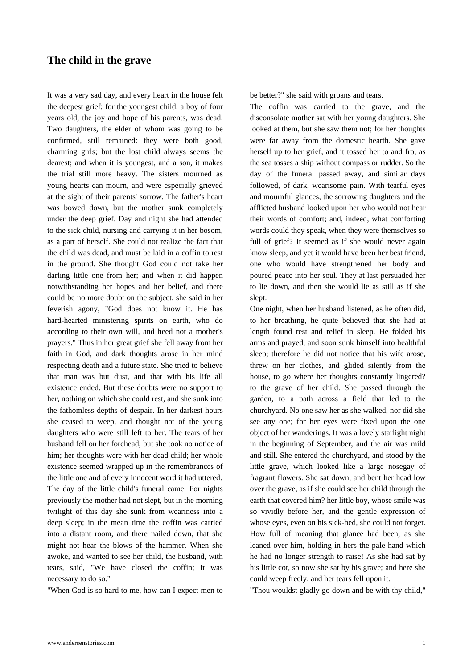## **The child in the grave**

[It was a very sad day, and every](https://www.andersenstories.com/en/andersen_fairy-tales/the_child_in_the_grave) heart in the house felt the deepest grief; for the youngest child, a boy of four years old, the joy and hope of his parents, was dead. Two daughters, the elder of whom was going to be confirmed, still remained: they were both good, charming girls; but the lost child always seems the dearest; and when it is youngest, and a son, it makes the trial still more heavy. The sisters mourned as young hearts can mourn, and were especially grieved at the sight of their parents' sorrow. The father's heart was bowed down, but the mother sunk completely under the deep grief. Day and night she had attended to the sick child, nursing and carrying it in her bosom, as a part of herself. She could not realize the fact that the child was dead, and must be laid in a coffin to rest in the ground. She thought God could not take her darling little one from her; and when it did happen notwithstanding her hopes and her belief, and there could be no more doubt on the subject, she said in her feverish agony, "God does not know it. He has hard-hearted ministering spirits on earth, who do according to their own will, and heed not a mother's prayers." Thus in her great grief she fell away from her faith in God, and dark thoughts arose in her mind respecting death and a future state. She tried to believe that man was but dust, and that with his life all existence ended. But these doubts were no support to her, nothing on which she could rest, and she sunk into the fathomless depths of despair. In her darkest hours she ceased to weep, and thought not of the young daughters who were still left to her. The tears of her husband fell on her forehead, but she took no notice of him; her thoughts were with her dead child; her whole existence seemed wrapped up in the remembrances of the little one and of every innocent word it had uttered. The day of the little child's funeral came. For nights previously the mother had not slept, but in the morning twilight of this day she sunk from weariness into a deep sleep; in the mean time the coffin was carried into a distant room, and there nailed down, that she might not hear the blows of the hammer. When she awoke, and wanted to see her child, the husband, with tears, said, "We have closed the coffin; it was necessary to do so."

"When God is so hard to me, how can I expect men to

be better?" she said with groans and tears.

The coffin was carried to the grave, and the disconsolate mother sat with her young daughters. She looked at them, but she saw them not; for her thoughts were far away from the domestic hearth. She gave herself up to her grief, and it tossed her to and fro, as the sea tosses a ship without compass or rudder. So the day of the funeral passed away, and similar days followed, of dark, wearisome pain. With tearful eyes and mournful glances, the sorrowing daughters and the afflicted husband looked upon her who would not hear their words of comfort; and, indeed, what comforting words could they speak, when they were themselves so full of grief? It seemed as if she would never again know sleep, and yet it would have been her best friend, one who would have strengthened her body and poured peace into her soul. They at last persuaded her to lie down, and then she would lie as still as if she slept.

One night, when her husband listened, as he often did, to her breathing, he quite believed that she had at length found rest and relief in sleep. He folded his arms and prayed, and soon sunk himself into healthful sleep; therefore he did not notice that his wife arose, threw on her clothes, and glided silently from the house, to go where her thoughts constantly lingered? to the grave of her child. She passed through the garden, to a path across a field that led to the churchyard. No one saw her as she walked, nor did she see any one; for her eyes were fixed upon the one object of her wanderings. It was a lovely starlight night in the beginning of September, and the air was mild and still. She entered the churchyard, and stood by the little grave, which looked like a large nosegay of fragrant flowers. She sat down, and bent her head low over the grave, as if she could see her child through the earth that covered him? her little boy, whose smile was so vividly before her, and the gentle expression of whose eyes, even on his sick-bed, she could not forget. How full of meaning that glance had been, as she leaned over him, holding in hers the pale hand which he had no longer strength to raise! As she had sat by his little cot, so now she sat by his grave; and here she could weep freely, and her tears fell upon it.

"Thou wouldst gladly go down and be with thy child,"